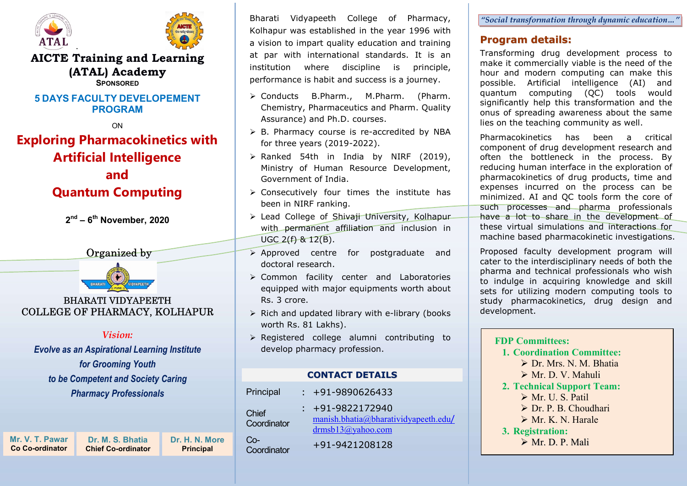

.



#### AICTE Training and Learning (ATAL) Academy **SPONSOPED**

#### **5 DAYS FACULTY DEVEL OPEMENT** PROGRAM

ON

# Exploring Pharmacokinetics with

### Artificial Intelligence and

## Quantum Computing

2<sup>nd</sup> – 6<sup>th</sup> November, 2020





#### BHARATI VIDYAPEETH COLLEGE OF PHARMACY, KOLHAPUR

#### Vision:

Evolve as an Aspirational Learning Institute for Grooming Youth to be Competent and Society Caring Pharmacy Professionals

Mr. V. T. Pawar Co Co-ordinator

Principal Dr. M. S. Bhatia Chief Co-ordinator

Bharati Vidyapeeth College of Pharmacy, Kolhapur was established in the year 1996 with a vision to impart quality education and training at par with international standards. It is an institution where discipline is principle, performance is habit and success is a journey.

- Conducts B.Pharm., M.Pharm. (Pharm. Chemistry, Pharmaceutics and Pharm. Quality Assurance) and Ph.D. courses.
- $\triangleright$  B. Pharmacy course is re-accredited by NBA for three years (2019-2022).
- $\triangleright$  Ranked 54th in India by NIRF (2019), Ministry of Human Resource Development, Government of India.
- $\triangleright$  Consecutively four times the institute has been in NIRF ranking.
- > Lead College of Shivaji University, Kolhapur with permanent affiliation and inclusion in  $UGC 2(f) 8 12(B)$ .
- $\triangleright$  Approved centre for postgraduate and doctoral research.
- Common facility center and Laboratories equipped with major equipments worth about Rs. 3 crore.
- $\triangleright$  Rich and updated library with e-library (books worth Rs. 81 Lakhs).
- $\triangleright$  Registered college alumni contributing to develop pharmacy profession.

#### CONTACT DETAILS

|                                    | Principal            | $: +91-9890626433$                                                                     |
|------------------------------------|----------------------|----------------------------------------------------------------------------------------|
|                                    | Chief<br>Coordinator | $: +91-9822172940$<br>manish.bhatia@bharatividyapeeth.edu/<br>$d$ rmsb $13$ @yahoo.com |
| Dr. H. N. More<br><b>Principal</b> | $Co-$<br>Coordinator | +91-9421208128                                                                         |

"Social transformation through dynamic education…"

#### Program details:

Transforming drug development process to make it commercially viable is the need of the hour and modern computing can make this possible. Artificial intelligence (AI) and quantum computing (QC) tools would significantly help this transformation and the onus of spreading awareness about the same lies on the teaching community as well.

Pharmacokinetics has been a critical component of drug development research and often the bottleneck in the process. By reducing human interface in the exploration of pharmacokinetics of drug products, time and expenses incurred on the process can be minimized. AI and QC tools form the core of such processes and pharma professionals have a lot to share in the development of these virtual simulations and interactions for machine based pharmacokinetic investigations.

Proposed faculty development program will cater to the interdisciplinary needs of both the pharma and technical professionals who wish to indulge in acquiring knowledge and skill sets for utilizing modern computing tools to study pharmacokinetics, drug design and development.

#### FDP Committees: 1. Coordination Committee: Dr. Mrs. N. M. Bhatia Mr. D. V. Mahuli 2. Technical Support Team: Mr. U. S. Patil > Dr. P. B. Choudhari  $\triangleright$  Mr. K. N. Harale 3. Registration: Mr. D. P. Mali